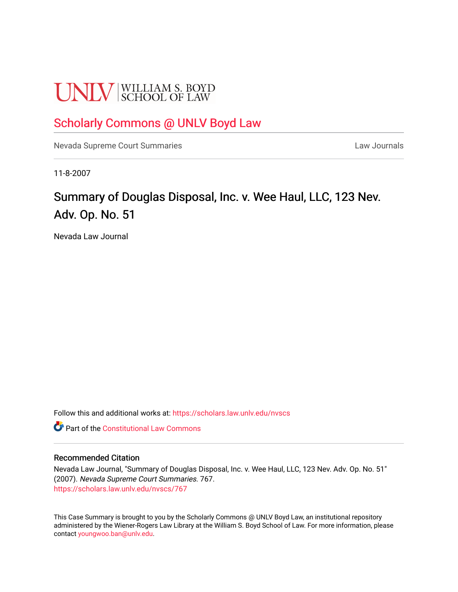# **UNLV** SCHOOL OF LAW

## [Scholarly Commons @ UNLV Boyd Law](https://scholars.law.unlv.edu/)

[Nevada Supreme Court Summaries](https://scholars.law.unlv.edu/nvscs) **Law Journals** Law Journals

11-8-2007

## Summary of Douglas Disposal, Inc. v. Wee Haul, LLC, 123 Nev. Adv. Op. No. 51

Nevada Law Journal

Follow this and additional works at: [https://scholars.law.unlv.edu/nvscs](https://scholars.law.unlv.edu/nvscs?utm_source=scholars.law.unlv.edu%2Fnvscs%2F767&utm_medium=PDF&utm_campaign=PDFCoverPages)

**C** Part of the Constitutional Law Commons

#### Recommended Citation

Nevada Law Journal, "Summary of Douglas Disposal, Inc. v. Wee Haul, LLC, 123 Nev. Adv. Op. No. 51" (2007). Nevada Supreme Court Summaries. 767. [https://scholars.law.unlv.edu/nvscs/767](https://scholars.law.unlv.edu/nvscs/767?utm_source=scholars.law.unlv.edu%2Fnvscs%2F767&utm_medium=PDF&utm_campaign=PDFCoverPages)

This Case Summary is brought to you by the Scholarly Commons @ UNLV Boyd Law, an institutional repository administered by the Wiener-Rogers Law Library at the William S. Boyd School of Law. For more information, please contact [youngwoo.ban@unlv.edu](mailto:youngwoo.ban@unlv.edu).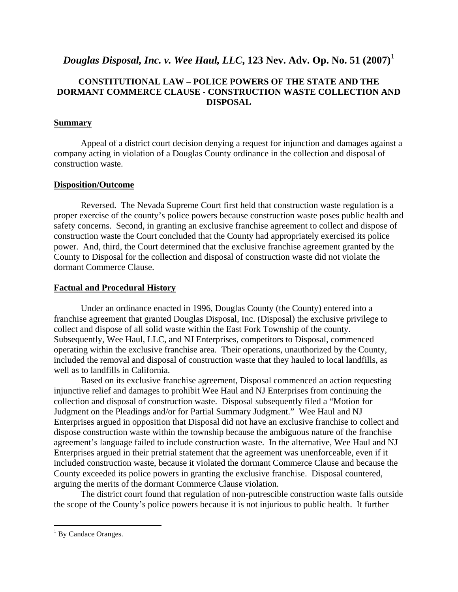### *Douglas Disposal, Inc. v. Wee Haul, LLC***, 123 Nev. Adv. Op. No. 51 (2007)[1](#page-1-0)**

#### **CONSTITUTIONAL LAW – POLICE POWERS OF THE STATE AND THE DORMANT COMMERCE CLAUSE - CONSTRUCTION WASTE COLLECTION AND DISPOSAL**

#### **Summary**

Appeal of a district court decision denying a request for injunction and damages against a company acting in violation of a Douglas County ordinance in the collection and disposal of construction waste.

#### **Disposition/Outcome**

Reversed. The Nevada Supreme Court first held that construction waste regulation is a proper exercise of the county's police powers because construction waste poses public health and safety concerns. Second, in granting an exclusive franchise agreement to collect and dispose of construction waste the Court concluded that the County had appropriately exercised its police power. And, third, the Court determined that the exclusive franchise agreement granted by the County to Disposal for the collection and disposal of construction waste did not violate the dormant Commerce Clause.

#### **Factual and Procedural History**

Under an ordinance enacted in 1996, Douglas County (the County) entered into a franchise agreement that granted Douglas Disposal, Inc. (Disposal) the exclusive privilege to collect and dispose of all solid waste within the East Fork Township of the county. Subsequently, Wee Haul, LLC, and NJ Enterprises, competitors to Disposal, commenced operating within the exclusive franchise area. Their operations, unauthorized by the County, included the removal and disposal of construction waste that they hauled to local landfills, as well as to landfills in California.

 Based on its exclusive franchise agreement, Disposal commenced an action requesting injunctive relief and damages to prohibit Wee Haul and NJ Enterprises from continuing the collection and disposal of construction waste. Disposal subsequently filed a "Motion for Judgment on the Pleadings and/or for Partial Summary Judgment." Wee Haul and NJ Enterprises argued in opposition that Disposal did not have an exclusive franchise to collect and dispose construction waste within the township because the ambiguous nature of the franchise agreement's language failed to include construction waste. In the alternative, Wee Haul and NJ Enterprises argued in their pretrial statement that the agreement was unenforceable, even if it included construction waste, because it violated the dormant Commerce Clause and because the County exceeded its police powers in granting the exclusive franchise. Disposal countered, arguing the merits of the dormant Commerce Clause violation.

 The district court found that regulation of non-putrescible construction waste falls outside the scope of the County's police powers because it is not injurious to public health. It further

<u>.</u>

<span id="page-1-0"></span><sup>&</sup>lt;sup>1</sup> By Candace Oranges.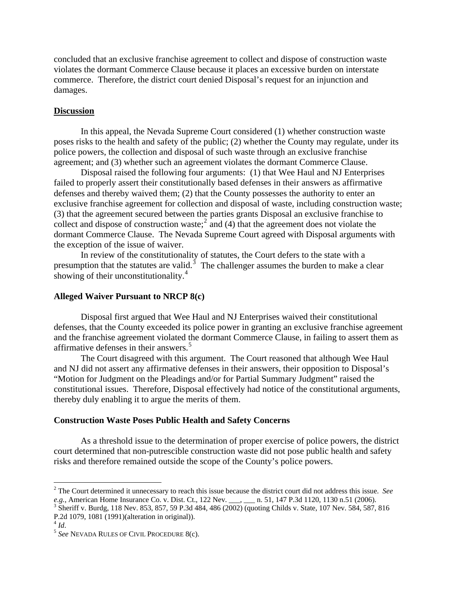concluded that an exclusive franchise agreement to collect and dispose of construction waste violates the dormant Commerce Clause because it places an excessive burden on interstate commerce. Therefore, the district court denied Disposal's request for an injunction and damages.

#### **Discussion**

In this appeal, the Nevada Supreme Court considered (1) whether construction waste poses risks to the health and safety of the public; (2) whether the County may regulate, under its police powers, the collection and disposal of such waste through an exclusive franchise agreement; and (3) whether such an agreement violates the dormant Commerce Clause.

Disposal raised the following four arguments: (1) that Wee Haul and NJ Enterprises failed to properly assert their constitutionally based defenses in their answers as affirmative defenses and thereby waived them; (2) that the County possesses the authority to enter an exclusive franchise agreement for collection and disposal of waste, including construction waste; (3) that the agreement secured between the parties grants Disposal an exclusive franchise to collect and dispose of construction waste;<sup>[2](#page-2-0)</sup> and (4) that the agreement does not violate the dormant Commerce Clause. The Nevada Supreme Court agreed with Disposal arguments with the exception of the issue of waiver.

In review of the constitutionality of statutes, the Court defers to the state with a presumption that the statutes are valid.<sup>[3](#page-2-1)</sup> The challenger assumes the burden to make a clear showing of their unconstitutionality.<sup>[4](#page-2-2)</sup>

#### **Alleged Waiver Pursuant to NRCP 8(c)**

Disposal first argued that Wee Haul and NJ Enterprises waived their constitutional defenses, that the County exceeded its police power in granting an exclusive franchise agreement and the franchise agreement violated the dormant Commerce Clause, in failing to assert them as affirmative defenses in their answers.[5](#page-2-3)

 The Court disagreed with this argument. The Court reasoned that although Wee Haul and NJ did not assert any affirmative defenses in their answers, their opposition to Disposal's "Motion for Judgment on the Pleadings and/or for Partial Summary Judgment" raised the constitutional issues. Therefore, Disposal effectively had notice of the constitutional arguments, thereby duly enabling it to argue the merits of them.

#### **Construction Waste Poses Public Health and Safety Concerns**

 As a threshold issue to the determination of proper exercise of police powers, the district court determined that non-putrescible construction waste did not pose public health and safety risks and therefore remained outside the scope of the County's police powers.

 $\overline{a}$ 

<span id="page-2-0"></span><sup>2</sup> The Court determined it unnecessary to reach this issue because the district court did not address this issue. *See* 

<span id="page-2-1"></span>e.g., American Home Insurance Co. v. Dist. Ct., 122 Nev. \_\_\_, \_\_\_ n. 51, 147 P.3d 1120, 1130 n.51 (2006).<br><sup>3</sup> Sheriff v. Burdg, 118 Nev. 853, 857, 59 P.3d 484, 486 (2002) (quoting Childs v. State, 107 Nev. 584, 587, 816 P.2d 1079, 1081 (1991)(alteration in original)).<br> $^{4}$  *Id.* 

<span id="page-2-2"></span>

<span id="page-2-3"></span><sup>&</sup>lt;sup>5</sup> See NEVADA RULES OF CIVIL PROCEDURE 8(c).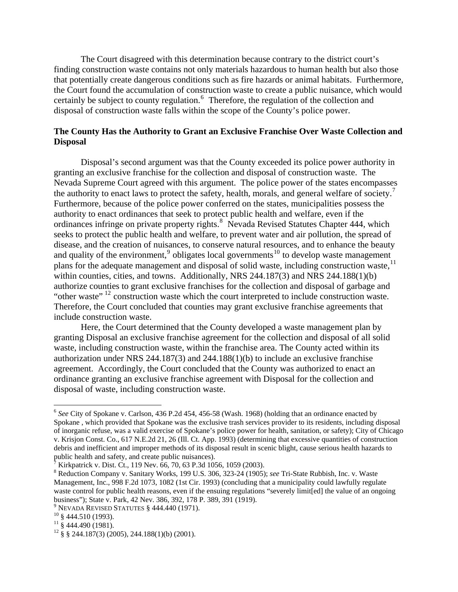The Court disagreed with this determination because contrary to the district court's finding construction waste contains not only materials hazardous to human health but also those that potentially create dangerous conditions such as fire hazards or animal habitats. Furthermore, the Court found the accumulation of construction waste to create a public nuisance, which would certainly be subject to county regulation. $<sup>6</sup>$  $<sup>6</sup>$  $<sup>6</sup>$  Therefore, the regulation of the collection and</sup> disposal of construction waste falls within the scope of the County's police power.

#### **The County Has the Authority to Grant an Exclusive Franchise Over Waste Collection and Disposal**

Disposal's second argument was that the County exceeded its police power authority in granting an exclusive franchise for the collection and disposal of construction waste. The Nevada Supreme Court agreed with this argument. The police power of the states encompasses the authority to enact laws to protect the safety, health, morals, and general welfare of society.<sup>[7](#page-3-1)</sup> Furthermore, because of the police power conferred on the states, municipalities possess the authority to enact ordinances that seek to protect public health and welfare, even if the ordinances infringe on private property rights.<sup>[8](#page-3-2)</sup> Nevada Revised Statutes Chapter 444, which seeks to protect the public health and welfare, to prevent water and air pollution, the spread of disease, and the creation of nuisances, to conserve natural resources, and to enhance the beauty and quality of the environment,  $9$  obligates local governments<sup>[10](#page-3-4)</sup> to develop waste management plans for the adequate management and disposal of solid waste, including construction waste,  $11$ within counties, cities, and towns. Additionally, NRS 244.187(3) and NRS 244.188(1)(b) authorize counties to grant exclusive franchises for the collection and disposal of garbage and "other waste" <sup>[12](#page-3-6)</sup> construction waste which the court interpreted to include construction waste. Therefore, the Court concluded that counties may grant exclusive franchise agreements that include construction waste.

Here, the Court determined that the County developed a waste management plan by granting Disposal an exclusive franchise agreement for the collection and disposal of all solid waste, including construction waste, within the franchise area. The County acted within its authorization under NRS 244.187(3) and 244.188(1)(b) to include an exclusive franchise agreement. Accordingly, the Court concluded that the County was authorized to enact an ordinance granting an exclusive franchise agreement with Disposal for the collection and disposal of waste, including construction waste.

 $\overline{a}$ 

<span id="page-3-0"></span><sup>6</sup> *See* City of Spokane v. Carlson, 436 P.2d 454, 456-58 (Wash. 1968) (holding that an ordinance enacted by Spokane , which provided that Spokane was the exclusive trash services provider to its residents, including disposal of inorganic refuse, was a valid exercise of Spokane's police power for health, sanitation, or safety); City of Chicago v. Krisjon Const. Co., 617 N.E.2d 21, 26 (Ill. Ct. App. 1993) (determining that excessive quantities of construction debris and inefficient and improper methods of its disposal result in scenic blight, cause serious health hazards to public health and safety, and create public nuisances). 7

Kirkpatrick v. Dist. Ct., 119 Nev. 66, 70, 63 P.3d 1056, 1059 (2003).

<span id="page-3-2"></span><span id="page-3-1"></span><sup>8</sup> Reduction Company v. Sanitary Works, 199 U.S. 306, 323-24 (1905); *see* Tri-State Rubbish, Inc. v. Waste Management, Inc., 998 F.2d 1073, 1082 (1st Cir. 1993) (concluding that a municipality could lawfully regulate waste control for public health reasons, even if the ensuing regulations "severely limit[ed] the value of an ongoing business"); State v. Park, 42 Nev. 386, 392, 178 P. 389, 391 (1919).

<sup>&</sup>lt;sup>9</sup> Nevada Revised Statutes § 444.440 (1971).<br><sup>10</sup> § 444.510 (1993).

<span id="page-3-4"></span><span id="page-3-3"></span> $^{10}$  § 444.510 (1993).<br><sup>11</sup> § 444.490 (1981).

<span id="page-3-5"></span>

<span id="page-3-6"></span> $12\frac{8}{9}$  § 244.187(3) (2005), 244.188(1)(b) (2001).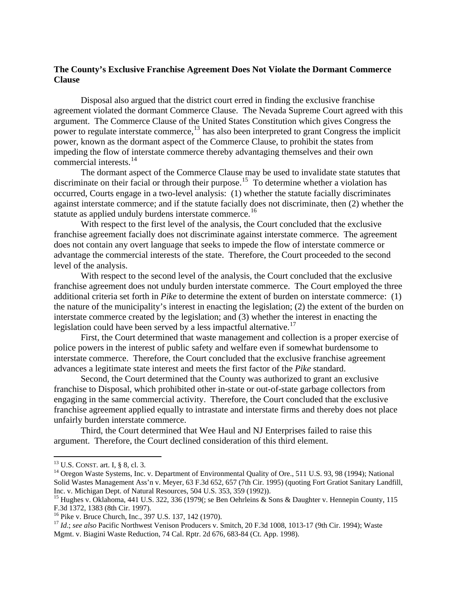#### **The County's Exclusive Franchise Agreement Does Not Violate the Dormant Commerce Clause**

 Disposal also argued that the district court erred in finding the exclusive franchise agreement violated the dormant Commerce Clause. The Nevada Supreme Court agreed with this argument. The Commerce Clause of the United States Constitution which gives Congress the power to regulate interstate commerce, $13$  has also been interpreted to grant Congress the implicit power, known as the dormant aspect of the Commerce Clause, to prohibit the states from impeding the flow of interstate commerce thereby advantaging themselves and their own commercial interests.<sup>[14](#page-4-1)</sup>

The dormant aspect of the Commerce Clause may be used to invalidate state statutes that discriminate on their facial or through their purpose.<sup>[15](#page-4-2)</sup> To determine whether a violation has occurred, Courts engage in a two-level analysis: (1) whether the statute facially discriminates against interstate commerce; and if the statute facially does not discriminate, then (2) whether the statute as applied unduly burdens interstate commerce.<sup>[16](#page-4-3)</sup>

With respect to the first level of the analysis, the Court concluded that the exclusive franchise agreement facially does not discriminate against interstate commerce. The agreement does not contain any overt language that seeks to impede the flow of interstate commerce or advantage the commercial interests of the state. Therefore, the Court proceeded to the second level of the analysis.

With respect to the second level of the analysis, the Court concluded that the exclusive franchise agreement does not unduly burden interstate commerce. The Court employed the three additional criteria set forth in *Pike* to determine the extent of burden on interstate commerce: (1) the nature of the municipality's interest in enacting the legislation; (2) the extent of the burden on interstate commerce created by the legislation; and (3) whether the interest in enacting the legislation could have been served by a less impactful alternative.<sup>[17](#page-4-4)</sup>

 First, the Court determined that waste management and collection is a proper exercise of police powers in the interest of public safety and welfare even if somewhat burdensome to interstate commerce. Therefore, the Court concluded that the exclusive franchise agreement advances a legitimate state interest and meets the first factor of the *Pike* standard.

 Second, the Court determined that the County was authorized to grant an exclusive franchise to Disposal, which prohibited other in-state or out-of-state garbage collectors from engaging in the same commercial activity. Therefore, the Court concluded that the exclusive franchise agreement applied equally to intrastate and interstate firms and thereby does not place unfairly burden interstate commerce.

 Third, the Court determined that Wee Haul and NJ Enterprises failed to raise this argument. Therefore, the Court declined consideration of this third element.

 $\overline{a}$ 

<span id="page-4-1"></span><span id="page-4-0"></span><sup>&</sup>lt;sup>13</sup> U.S. CONST. art. I, § 8, cl. 3.<br><sup>14</sup> Oregon Waste Systems, Inc. v. Department of Environmental Quality of Ore., 511 U.S. 93, 98 (1994); National Solid Wastes Management Ass'n v. Meyer, 63 F.3d 652, 657 (7th Cir. 1995) (quoting Fort Gratiot Sanitary Landfill, Inc. v. Michigan Dept. of Natural Resources, 504 U.S. 353, 359 (1992)).

<span id="page-4-2"></span><sup>&</sup>lt;sup>15</sup> Hughes v. Oklahoma, 441 U.S. 322, 336 (1979); se Ben Oehrleins & Sons & Daughter v. Hennepin County, 115 F.3d 1372, 1383 (8th Cir. 1997).

<span id="page-4-3"></span><sup>&</sup>lt;sup>16</sup> Pike v. Bruce Church, Inc., 397 U.S. 137, 142 (1970).

<span id="page-4-4"></span><sup>&</sup>lt;sup>17</sup> *Id.*; see also Pacific Northwest Venison Producers v. Smitch, 20 F.3d 1008, 1013-17 (9th Cir. 1994); Waste Mgmt. v. Biagini Waste Reduction, 74 Cal. Rptr. 2d 676, 683-84 (Ct. App. 1998).